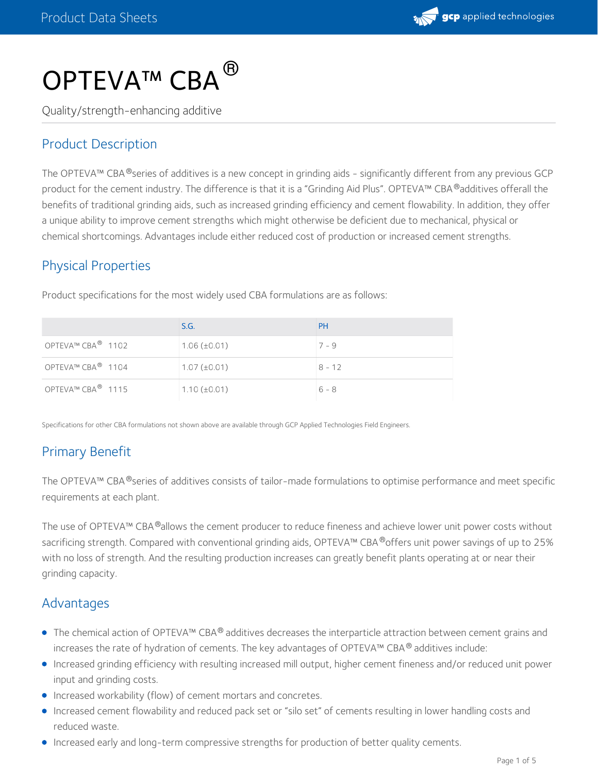

# OPTEVA™ CBA<sup>®</sup>

Quality/strength-enhancing additive

## Product Description

The OPTEVA™ CBA®series of additives is a new concept in grinding aids - significantly different from any previous GCP product for the cement industry. The difference is that it is a "Grinding Aid Plus". OPTEVA™ CBA®additives offerall the benefits of traditional grinding aids, such as increased grinding efficiency and cement flowability. In addition, they offer a unique ability to improve cement strengths which might otherwise be deficient due to mechanical, physical or chemical shortcomings. Advantages include either reduced cost of production or increased cement strengths.

## Physical Properties

|                               | S.G.              | <b>PH</b> |
|-------------------------------|-------------------|-----------|
| OPTEVA™ CBA <sup>®</sup> 1102 | $1.06 (\pm 0.01)$ | $7 - 9$   |
| OPTEVA™ CBA <sup>®</sup> 1104 | $1.07 (\pm 0.01)$ | $8 - 12$  |
| OPTEVA™ CBA <sup>®</sup> 1115 | $1.10 (\pm 0.01)$ | $6 - 8$   |

Product specifications for the most widely used CBA formulations are as follows:

Specifications for other CBA formulations not shown above are available through GCP Applied Technologies Field Engineers.

## Primary Benefit

The OPTEVA™ CBA®series of additives consists of tailor-made formulations to optimise performance and meet specific requirements at each plant.

The use of OPTEVA™ CBA $^\circledR$ allows the cement producer to reduce fineness and achieve lower unit power costs without sacrificing strength. Compared with conventional grinding aids, OPTEVA™ CBA®offers unit power savings of up to 25% with no loss of strength. And the resulting production increases can greatly benefit plants operating at or near their grinding capacity.

#### Advantages

- The chemical action of OPTEVA™ CBA® additives decreases the interparticle attraction between cement grains and increases the rate of hydration of cements. The key advantages of OPTEVA™ CBA® additives include:
- Increased grinding efficiency with resulting increased mill output, higher cement fineness and/or reduced unit power input and grinding costs.
- Increased workability (flow) of cement mortars and concretes.
- Increased cement flowability and reduced pack set or "silo set" of cements resulting in lower handling costs and reduced waste.
- Increased early and long-term compressive strengths for production of better quality cements.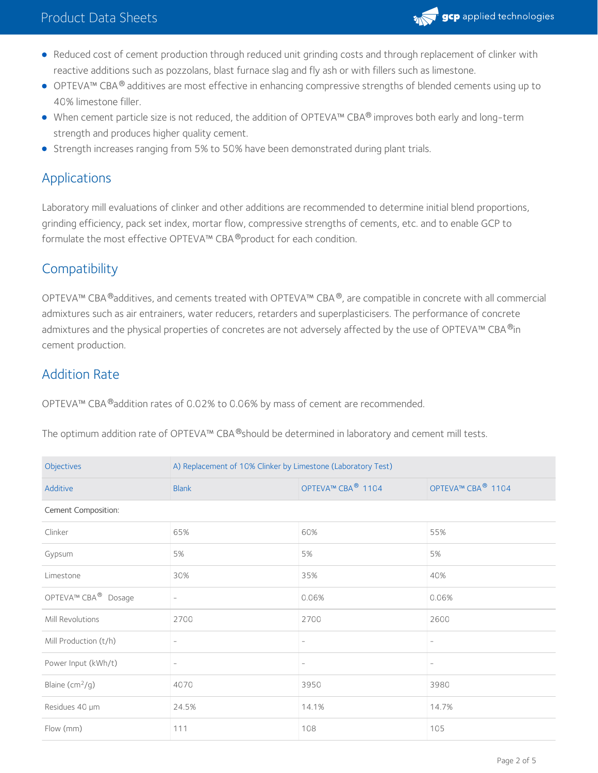

- Reduced cost of cement production through reduced unit grinding costs and through replacement of clinker with reactive additions such as pozzolans, blast furnace slag and fly ash or with fillers such as limestone.
- OPTEVA™ CBA $^\circledR$  additives are most effective in enhancing compressive strengths of blended cements using up to 40% limestone filler.
- When cement particle size is not reduced, the addition of OPTEVA™ CBA® improves both early and long-term strength and produces higher quality cement.
- **Strength increases ranging from 5% to 50% have been demonstrated during plant trials.**

## Applications

Laboratory mill evaluations of clinker and other additions are recommended to determine initial blend proportions, grinding efficiency, pack set index, mortar flow, compressive strengths of cements, etc. and to enable GCP to formulate the most effective OPTEVA™ CBA®product for each condition.

## **Compatibility**

OPTEVA™ CBA ®additives, and cements treated with OPTEVA™ CBA ®, are compatible in concrete with all commercial admixtures such as air entrainers, water reducers, retarders and superplasticisers. The performance of concrete admixtures and the physical properties of concretes are not adversely affected by the use of OPTEVA™ CBA®in cement production.

## Addition Rate

OPTEVA™ CBA ®addition rates of 0.02% to 0.06% by mass of cement are recommended.

| Objectives                      | A) Replacement of 10% Clinker by Limestone (Laboratory Test) |                               |                               |
|---------------------------------|--------------------------------------------------------------|-------------------------------|-------------------------------|
| Additive                        | <b>Blank</b>                                                 | OPTEVA™ CBA <sup>®</sup> 1104 | OPTEVA™ CBA <sup>®</sup> 1104 |
| Cement Composition:             |                                                              |                               |                               |
| Clinker                         | 65%                                                          | 60%                           | 55%                           |
| Gypsum                          | 5%                                                           | 5%                            | 5%                            |
| Limestone                       | 30%                                                          | 35%                           | 40%                           |
| OPTEVA™ CBA <sup>®</sup> Dosage | $\overline{\phantom{a}}$                                     | 0.06%                         | 0.06%                         |
| Mill Revolutions                | 2700                                                         | 2700                          | 2600                          |
| Mill Production (t/h)           | $\overline{\phantom{a}}$                                     | $\overline{\phantom{a}}$      | $\overline{\phantom{a}}$      |
| Power Input (kWh/t)             | $\overline{\phantom{a}}$                                     | $\overline{\phantom{0}}$      | $\overline{\phantom{a}}$      |
| Blaine $(cm^2/g)$               | 4070                                                         | 3950                          | 3980                          |
| Residues 40 µm                  | 24.5%                                                        | 14.1%                         | 14.7%                         |
| Flow (mm)                       | 111                                                          | 108                           | 105                           |

The optimum addition rate of OPTEVA™ CBA®should be determined in laboratory and cement mill tests.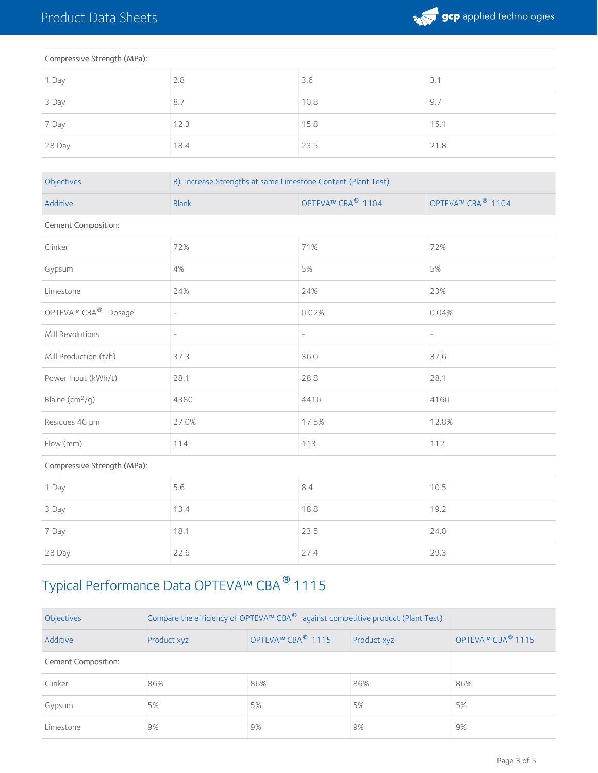

| Compressive Strength (MPa): |      |      |      |  |
|-----------------------------|------|------|------|--|
| 1 Day                       | 2.8  | 3.6  | 3.1  |  |
| 3 Day                       | 8.7  | 10.8 | 9.7  |  |
| 7 Day                       | 12.3 | 15.8 | 15.1 |  |
| 28 Day                      | 18.4 | 23.5 | 21.8 |  |

| Objectives                      | B) Increase Strengths at same Limestone Content (Plant Test) |                               |                               |  |
|---------------------------------|--------------------------------------------------------------|-------------------------------|-------------------------------|--|
| Additive                        | <b>Blank</b>                                                 | OPTEVA™ CBA <sup>®</sup> 1104 | OPTEVA™ CBA <sup>®</sup> 1104 |  |
| Cement Composition:             |                                                              |                               |                               |  |
| Clinker                         | 72%                                                          | 71%                           | 72%                           |  |
| Gypsum                          | 4%                                                           | 5%                            | 5%                            |  |
| Limestone                       | 24%                                                          | 24%                           | 23%                           |  |
| OPTEVA™ CBA <sup>®</sup> Dosage | $\overline{\phantom{0}}$                                     | 0.02%                         | 0.04%                         |  |
| Mill Revolutions                | $\bar{a}$                                                    | $\overline{\phantom{a}}$      | $\qquad \qquad -$             |  |
| Mill Production (t/h)           | 37.3                                                         | 36.0                          | 37.6                          |  |
| Power Input (kWh/t)             | 28.1                                                         | 28.8                          | 28.1                          |  |
| Blaine (cm <sup>2</sup> /g)     | 4380                                                         | 4410                          | 4160                          |  |
| Residues 40 µm                  | 27.0%                                                        | 17.5%                         | 12.8%                         |  |
| Flow (mm)                       | 114                                                          | 113                           | 112                           |  |
| Compressive Strength (MPa):     |                                                              |                               |                               |  |
| 1 Day                           | 5.6                                                          | 8.4                           | 10.5                          |  |
| 3 Day                           | 13.4                                                         | 18.8                          | 19.2                          |  |
| 7 Day                           | 18.1                                                         | 23.5                          | 24.0                          |  |
| 28 Day                          | 22.6                                                         | 27.4                          | 29.3                          |  |

## Typical Performance Data OPTEVA™ CBA ® 1115

| Objectives          | Compare the efficiency of OPTEVA™ CBA® against competitive product (Plant Test) |                               |             |                               |
|---------------------|---------------------------------------------------------------------------------|-------------------------------|-------------|-------------------------------|
| Additive            | Product xyz                                                                     | OPTEVA™ CBA <sup>®</sup> 1115 | Product xyz | OPTEVA™ CBA <sup>®</sup> 1115 |
| Cement Composition: |                                                                                 |                               |             |                               |
| Clinker             | 86%                                                                             | 86%                           | 86%         | 86%                           |
| Gypsum              | 5%                                                                              | 5%                            | 5%          | 5%                            |
| Limestone           | 9%                                                                              | 9%                            | 9%          | 9%                            |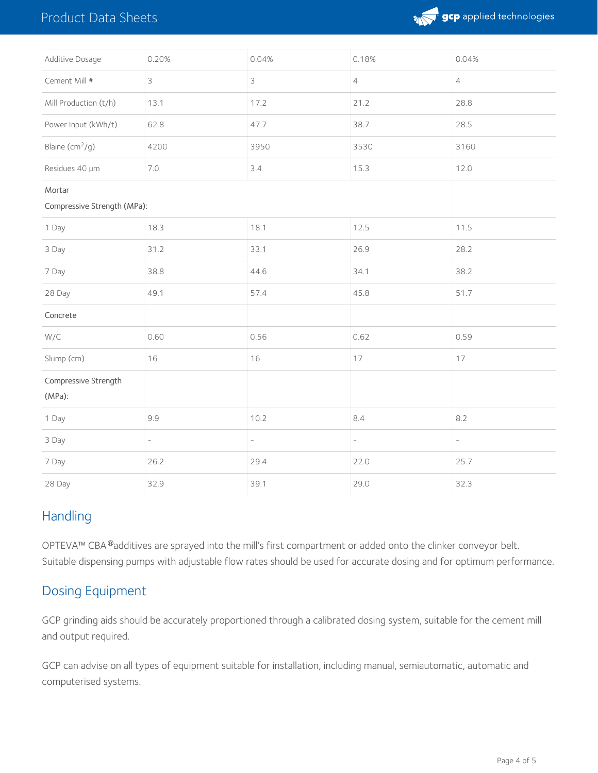## Product Data Sheets



| Additive Dosage                   | 0.20%                    | 0.04%               | 0.18%          | 0.04%                    |
|-----------------------------------|--------------------------|---------------------|----------------|--------------------------|
| Cement Mill #                     | $\mathfrak{Z}$           | 3                   | $\overline{4}$ | $\overline{4}$           |
| Mill Production (t/h)             | 13.1                     | 17.2                | 21.2           | 28.8                     |
| Power Input (kWh/t)               | 62.8                     | 47.7                | 38.7           | 28.5                     |
| Blaine (cm <sup>2</sup> /g)       | 4200                     | 3950                | 3530           | 3160                     |
| Residues 40 µm                    | $7.0\,$                  | 3.4                 | 15.3           | 12.0                     |
| Mortar                            |                          |                     |                |                          |
| Compressive Strength (MPa):       |                          |                     |                |                          |
| 1 Day                             | 18.3                     | 18.1                | 12.5           | 11.5                     |
| 3 Day                             | 31.2                     | 33.1                | 26.9           | 28.2                     |
| 7 Day                             | 38.8                     | 44.6                | 34.1           | 38.2                     |
| 28 Day                            | 49.1                     | 57.4                | 45.8           | 51.7                     |
| Concrete                          |                          |                     |                |                          |
| W/C                               | 0.60                     | 0.56                | 0.62           | 0.59                     |
| Slump (cm)                        | 16                       | 16                  | 17             | 17                       |
| Compressive Strength<br>$(MPa)$ : |                          |                     |                |                          |
| 1 Day                             | 9.9                      | 10.2                | 8.4            | 8.2                      |
| 3 Day                             | $\overline{\phantom{a}}$ | $\bar{\phantom{a}}$ | $\bar{a}$      | $\overline{\phantom{a}}$ |
| 7 Day                             | 26.2                     | 29.4                | 22.0           | 25.7                     |
| 28 Day                            | 32.9                     | 39.1                | 29.0           | 32.3                     |

## **Handling**

OPTEVA™ CBA $^{\circledR}$ additives are sprayed into the mill's first compartment or added onto the clinker conveyor belt. Suitable dispensing pumps with adjustable flow rates should be used for accurate dosing and for optimum performance.

## Dosing Equipment

GCP grinding aids should be accurately proportioned through a calibrated dosing system, suitable for the cement mill and output required.

GCP can advise on all types of equipment suitable for installation, including manual, semiautomatic, automatic and computerised systems.